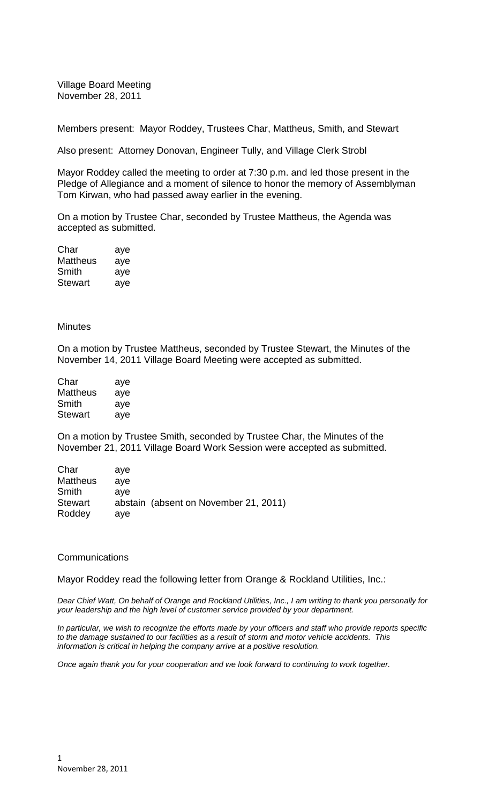Village Board Meeting November 28, 2011

Members present: Mayor Roddey, Trustees Char, Mattheus, Smith, and Stewart

Also present: Attorney Donovan, Engineer Tully, and Village Clerk Strobl

Mayor Roddey called the meeting to order at 7:30 p.m. and led those present in the Pledge of Allegiance and a moment of silence to honor the memory of Assemblyman Tom Kirwan, who had passed away earlier in the evening.

On a motion by Trustee Char, seconded by Trustee Mattheus, the Agenda was accepted as submitted.

| Char            | aye |
|-----------------|-----|
| <b>Mattheus</b> | aye |
| Smith           | aye |
| <b>Stewart</b>  | aye |

## **Minutes**

On a motion by Trustee Mattheus, seconded by Trustee Stewart, the Minutes of the November 14, 2011 Village Board Meeting were accepted as submitted.

| Char           | aye |
|----------------|-----|
| Mattheus       | aye |
| Smith          | aye |
| <b>Stewart</b> | aye |

On a motion by Trustee Smith, seconded by Trustee Char, the Minutes of the November 21, 2011 Village Board Work Session were accepted as submitted.

| Char            | ave |                                       |
|-----------------|-----|---------------------------------------|
| <b>Mattheus</b> | ave |                                       |
| Smith           | ave |                                       |
| <b>Stewart</b>  |     | abstain (absent on November 21, 2011) |
| Roddey          | ave |                                       |
|                 |     |                                       |

## Communications

Mayor Roddey read the following letter from Orange & Rockland Utilities, Inc.:

*Dear Chief Watt, On behalf of Orange and Rockland Utilities, Inc., I am writing to thank you personally for your leadership and the high level of customer service provided by your department.*

*In particular, we wish to recognize the efforts made by your officers and staff who provide reports specific to the damage sustained to our facilities as a result of storm and motor vehicle accidents. This information is critical in helping the company arrive at a positive resolution.*

*Once again thank you for your cooperation and we look forward to continuing to work together.*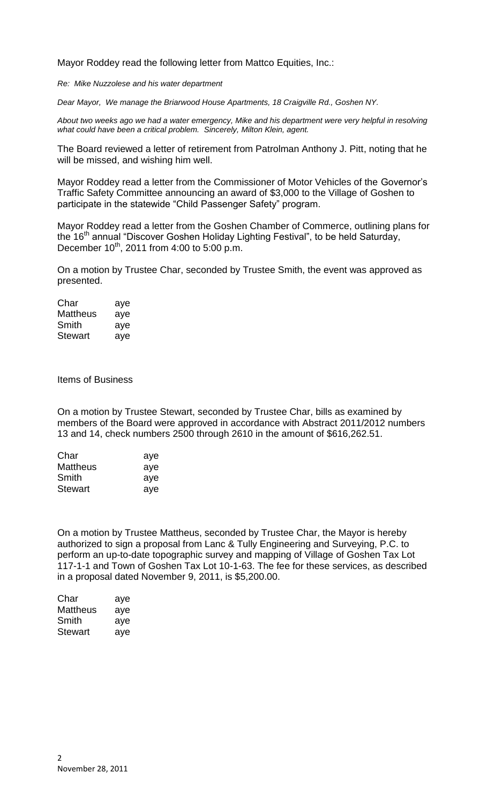Mayor Roddey read the following letter from Mattco Equities, Inc.:

*Re: Mike Nuzzolese and his water department*

*Dear Mayor, We manage the Briarwood House Apartments, 18 Craigville Rd., Goshen NY.*

*About two weeks ago we had a water emergency, Mike and his department were very helpful in resolving what could have been a critical problem. Sincerely, Milton Klein, agent.*

The Board reviewed a letter of retirement from Patrolman Anthony J. Pitt, noting that he will be missed, and wishing him well.

Mayor Roddey read a letter from the Commissioner of Motor Vehicles of the Governor's Traffic Safety Committee announcing an award of \$3,000 to the Village of Goshen to participate in the statewide "Child Passenger Safety" program.

Mayor Roddey read a letter from the Goshen Chamber of Commerce, outlining plans for the 16<sup>th</sup> annual "Discover Goshen Holiday Lighting Festival", to be held Saturday, December  $10^{th}$ , 2011 from 4:00 to 5:00 p.m.

On a motion by Trustee Char, seconded by Trustee Smith, the event was approved as presented.

| Char           | aye |
|----------------|-----|
| Mattheus       | aye |
| Smith          | aye |
| <b>Stewart</b> | aye |

Items of Business

On a motion by Trustee Stewart, seconded by Trustee Char, bills as examined by members of the Board were approved in accordance with Abstract 2011/2012 numbers 13 and 14, check numbers 2500 through 2610 in the amount of \$616,262.51.

| Char            | aye |
|-----------------|-----|
| <b>Mattheus</b> | aye |
| Smith           | aye |
| <b>Stewart</b>  | ave |

On a motion by Trustee Mattheus, seconded by Trustee Char, the Mayor is hereby authorized to sign a proposal from Lanc & Tully Engineering and Surveying, P.C. to perform an up-to-date topographic survey and mapping of Village of Goshen Tax Lot 117-1-1 and Town of Goshen Tax Lot 10-1-63. The fee for these services, as described in a proposal dated November 9, 2011, is \$5,200.00.

| Char           | aye |
|----------------|-----|
| Mattheus       | aye |
| Smith          | aye |
| <b>Stewart</b> | aye |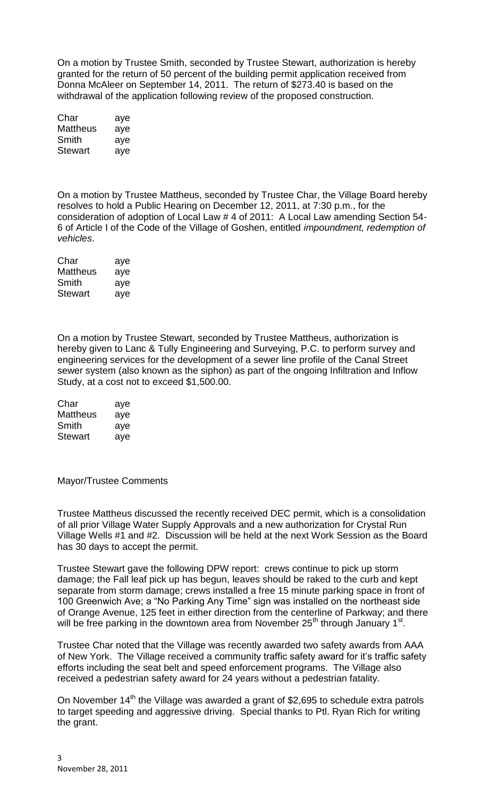On a motion by Trustee Smith, seconded by Trustee Stewart, authorization is hereby granted for the return of 50 percent of the building permit application received from Donna McAleer on September 14, 2011. The return of \$273.40 is based on the withdrawal of the application following review of the proposed construction.

| Char     | aye |
|----------|-----|
| Mattheus | aye |
| Smith    | aye |
| Stewart  | aye |

On a motion by Trustee Mattheus, seconded by Trustee Char, the Village Board hereby resolves to hold a Public Hearing on December 12, 2011, at 7:30 p.m., for the consideration of adoption of Local Law # 4 of 2011: A Local Law amending Section 54- 6 of Article I of the Code of the Village of Goshen, entitled *impoundment, redemption of vehicles*.

| Char            | aye |
|-----------------|-----|
| <b>Mattheus</b> | aye |
| Smith           | aye |
| <b>Stewart</b>  | aye |

On a motion by Trustee Stewart, seconded by Trustee Mattheus, authorization is hereby given to Lanc & Tully Engineering and Surveying, P.C. to perform survey and engineering services for the development of a sewer line profile of the Canal Street sewer system (also known as the siphon) as part of the ongoing Infiltration and Inflow Study, at a cost not to exceed \$1,500.00.

| Char     | aye |
|----------|-----|
| Mattheus | aye |
| Smith    | aye |
| Stewart  | aye |

Mayor/Trustee Comments

Trustee Mattheus discussed the recently received DEC permit, which is a consolidation of all prior Village Water Supply Approvals and a new authorization for Crystal Run Village Wells #1 and #2. Discussion will be held at the next Work Session as the Board has 30 days to accept the permit.

Trustee Stewart gave the following DPW report: crews continue to pick up storm damage; the Fall leaf pick up has begun, leaves should be raked to the curb and kept separate from storm damage; crews installed a free 15 minute parking space in front of 100 Greenwich Ave; a "No Parking Any Time" sign was installed on the northeast side of Orange Avenue, 125 feet in either direction from the centerline of Parkway; and there will be free parking in the downtown area from November 25<sup>th</sup> through January 1<sup>st</sup>.

Trustee Char noted that the Village was recently awarded two safety awards from AAA of New York. The Village received a community traffic safety award for it's traffic safety efforts including the seat belt and speed enforcement programs. The Village also received a pedestrian safety award for 24 years without a pedestrian fatality.

On November  $14<sup>th</sup>$  the Village was awarded a grant of \$2,695 to schedule extra patrols to target speeding and aggressive driving. Special thanks to Ptl. Ryan Rich for writing the grant.